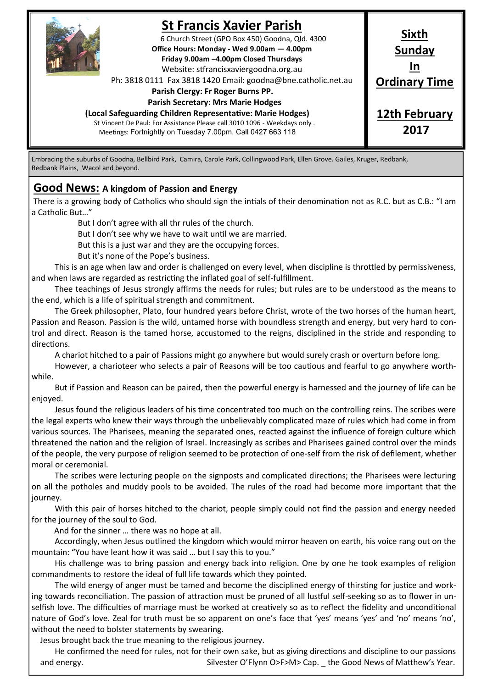

## **St Francis Xavier Parish**

6 Church Street (GPO Box 450) Goodna, Qld. 4300 **Office Hours: Monday - Wed 9.00am — 4.00pm Friday 9.00am –4.00pm Closed Thursdays**  Website: stfrancisxaviergoodna.org.au

Ph: 3818 0111 Fax 3818 1420 Email: goodna@bne.catholic.net.au

 **Parish Clergy: Fr Roger Burns PP.** 

#### **Parish Secretary: Mrs Marie Hodges**

**(Local Safeguarding Children Representative: Marie Hodges)**

St Vincent De Paul: For Assistance Please call 3010 1096 - Weekdays only . Meetings: Fortnightly on Tuesday 7.00pm. Call 0427 663 118

# **Sixth Sunday In Ordinary Time**

**12th February 2017**

Embracing the suburbs of Goodna, Bellbird Park, Camira, Carole Park, Collingwood Park, Ellen Grove. Gailes, Kruger, Redbank, Redbank Plains, Wacol and beyond.

### **Good News: A kingdom of Passion and Energy**

There is a growing body of Catholics who should sign the intials of their denomination not as R.C. but as C.B.: "I am a Catholic But…"

But I don't agree with all thr rules of the church.

But I don't see why we have to wait until we are married.

But this is a just war and they are the occupying forces.

But it's none of the Pope's business.

This is an age when law and order is challenged on every level, when discipline is throttled by permissiveness, and when laws are regarded as restricting the inflated goal of self-fulfillment.

Thee teachings of Jesus strongly affirms the needs for rules; but rules are to be understood as the means to the end, which is a life of spiritual strength and commitment.

The Greek philosopher, Plato, four hundred years before Christ, wrote of the two horses of the human heart, Passion and Reason. Passion is the wild, untamed horse with boundless strength and energy, but very hard to control and direct. Reason is the tamed horse, accustomed to the reigns, disciplined in the stride and responding to directions.

A chariot hitched to a pair of Passions might go anywhere but would surely crash or overturn before long.

However, a charioteer who selects a pair of Reasons will be too cautious and fearful to go anywhere worthwhile.

But if Passion and Reason can be paired, then the powerful energy is harnessed and the journey of life can be enjoyed.

Jesus found the religious leaders of his time concentrated too much on the controlling reins. The scribes were the legal experts who knew their ways through the unbelievably complicated maze of rules which had come in from various sources. The Pharisees, meaning the separated ones, reacted against the influence of foreign culture which threatened the nation and the religion of Israel. Increasingly as scribes and Pharisees gained control over the minds of the people, the very purpose of religion seemed to be protection of one-self from the risk of defilement, whether moral or ceremonial.

The scribes were lecturing people on the signposts and complicated directions; the Pharisees were lecturing on all the potholes and muddy pools to be avoided. The rules of the road had become more important that the journey.

With this pair of horses hitched to the chariot, people simply could not find the passion and energy needed for the journey of the soul to God.

And for the sinner … there was no hope at all.

Accordingly, when Jesus outlined the kingdom which would mirror heaven on earth, his voice rang out on the mountain: "You have leant how it was said … but I say this to you."

His challenge was to bring passion and energy back into religion. One by one he took examples of religion commandments to restore the ideal of full life towards which they pointed.

The wild energy of anger must be tamed and become the disciplined energy of thirsting for justice and working towards reconciliation. The passion of attraction must be pruned of all lustful self-seeking so as to flower in unselfish love. The difficulties of marriage must be worked at creatively so as to reflect the fidelity and unconditional nature of God's love. Zeal for truth must be so apparent on one's face that 'yes' means 'yes' and 'no' means 'no', without the need to bolster statements by swearing.

Jesus brought back the true meaning to the religious journey.

He confirmed the need for rules, not for their own sake, but as giving directions and discipline to our passions and energy. Silvester O'Flynn O>F>M> Cap. \_ the Good News of Matthew's Year.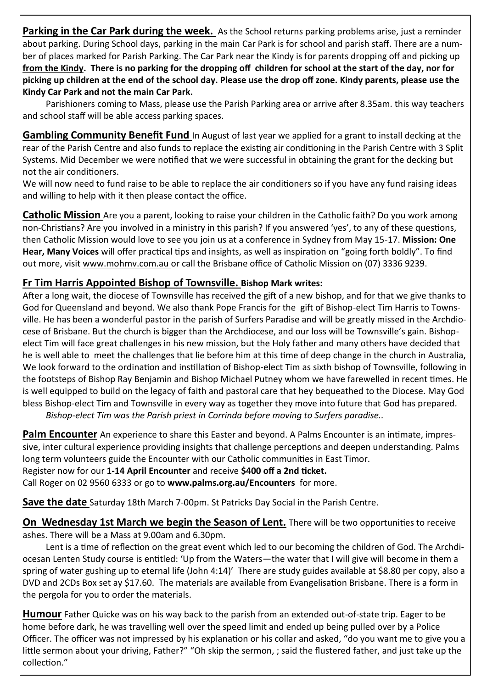**Parking in the Car Park during the week.** As the School returns parking problems arise, just a reminder about parking. During School days, parking in the main Car Park is for school and parish staff. There are a number of places marked for Parish Parking. The Car Park near the Kindy is for parents dropping off and picking up **from the Kindy. There is no parking for the dropping off children for school at the start of the day, nor for picking up children at the end of the school day. Please use the drop off zone. Kindy parents, please use the Kindy Car Park and not the main Car Park.**

Parishioners coming to Mass, please use the Parish Parking area or arrive after 8.35am. this way teachers and school staff will be able access parking spaces.

**Gambling Community Benefit Fund** In August of last year we applied for a grant to install decking at the rear of the Parish Centre and also funds to replace the existing air conditioning in the Parish Centre with 3 Split Systems. Mid December we were notified that we were successful in obtaining the grant for the decking but not the air conditioners.

We will now need to fund raise to be able to replace the air conditioners so if you have any fund raising ideas and willing to help with it then please contact the office.

**Catholic Mission** Are you a parent, looking to raise your children in the Catholic faith? Do you work among non-Christians? Are you involved in a ministry in this parish? If you answered 'yes', to any of these questions, then Catholic Mission would love to see you join us at a conference in Sydney from May 15-17. **Mission: One Hear, Many Voices** will offer practical tips and insights, as well as inspiration on "going forth boldly". To find out more, visit www.mohmv.com.au or call the Brisbane office of Catholic Mission on (07) 3336 9239.

## **Fr Tim Harris Appointed Bishop of Townsville. Bishop Mark writes:**

After a long wait, the diocese of Townsville has received the gift of a new bishop, and for that we give thanks to God for Queensland and beyond. We also thank Pope Francis for the gift of Bishop-elect Tim Harris to Townsville. He has been a wonderful pastor in the parish of Surfers Paradise and will be greatly missed in the Archdiocese of Brisbane. But the church is bigger than the Archdiocese, and our loss will be Townsville's gain. Bishopelect Tim will face great challenges in his new mission, but the Holy father and many others have decided that he is well able to meet the challenges that lie before him at this time of deep change in the church in Australia, We look forward to the ordination and instillation of Bishop-elect Tim as sixth bishop of Townsville, following in the footsteps of Bishop Ray Benjamin and Bishop Michael Putney whom we have farewelled in recent times. He is well equipped to build on the legacy of faith and pastoral care that hey bequeathed to the Diocese. May God bless Bishop-elect Tim and Townsville in every way as together they move into future that God has prepared.

*Bishop-elect Tim was the Parish priest in Corrinda before moving to Surfers paradise..*

**Palm Encounter** An experience to share this Easter and beyond. A Palms Encounter is an intimate, impressive, inter cultural experience providing insights that challenge perceptions and deepen understanding. Palms long term volunteers guide the Encounter with our Catholic communities in East Timor.

Register now for our **1-14 April Encounter** and receive **\$400 off a 2nd ticket.**

Call Roger on 02 9560 6333 or go to **www.palms.org.au/Encounters** for more.

**Save the date** Saturday 18th March 7-00pm. St Patricks Day Social in the Parish Centre.

**On Wednesday 1st March we begin the Season of Lent.** There will be two opportunities to receive ashes. There will be a Mass at 9.00am and 6.30pm.

Lent is a time of reflection on the great event which led to our becoming the children of God. The Archdiocesan Lenten Study course is entitled: 'Up from the Waters—the water that I will give will become in them a spring of water gushing up to eternal life (John 4:14)' There are study guides available at \$8.80 per copy, also a DVD and 2CDs Box set ay \$17.60. The materials are available from Evangelisation Brisbane. There is a form in the pergola for you to order the materials.

**Humour** Father Quicke was on his way back to the parish from an extended out-of-state trip. Eager to be home before dark, he was travelling well over the speed limit and ended up being pulled over by a Police Officer. The officer was not impressed by his explanation or his collar and asked, "do you want me to give you a little sermon about your driving, Father?" "Oh skip the sermon, ; said the flustered father, and just take up the collection."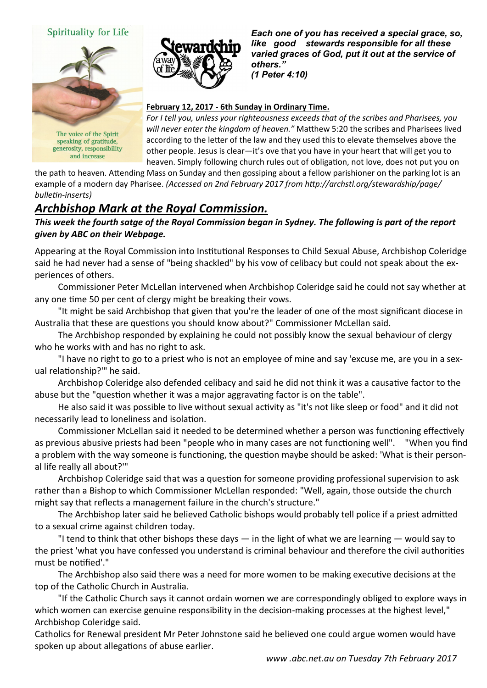#### Spirituality for Life



speaking of gratitude, generosity, responsibility and increase

*Each one of you has received a special grace, so, like good stewards responsible for all these varied graces of God, put it out at the service of others." (1 Peter 4:10)* 

#### **February 12, 2017 - 6th Sunday in Ordinary Time.**

*For I tell you, unless your righteousness exceeds that of the scribes and Pharisees, you will never enter the kingdom of heaven."* Matthew 5:20 the scribes and Pharisees lived according to the letter of the law and they used this to elevate themselves above the other people. Jesus is clear—it's ove that you have in your heart that will get you to heaven. Simply following church rules out of obligation, not love, does not put you on

the path to heaven. Attending Mass on Sunday and then gossiping about a fellow parishioner on the parking lot is an example of a modern day Pharisee. *(Accessed on 2nd February 2017 from http://archstl.org/stewardship/page/ bulletin-inserts)*

## *Archbishop Mark at the Royal Commission.*

#### *This week the fourth satge of the Royal Commission began in Sydney. The following is part of the report given by ABC on their Webpage.*

Appearing at the Royal Commission into Institutional Responses to Child Sexual Abuse, Archbishop Coleridge said he had never had a sense of "being shackled" by his vow of celibacy but could not speak about the experiences of others.

Commissioner Peter McLellan intervened when Archbishop Coleridge said he could not say whether at any one time 50 per cent of clergy might be breaking their vows.

"It might be said Archbishop that given that you're the leader of one of the most significant diocese in Australia that these are questions you should know about?" Commissioner McLellan said.

The Archbishop responded by explaining he could not possibly know the sexual behaviour of clergy who he works with and has no right to ask.

"I have no right to go to a priest who is not an employee of mine and say 'excuse me, are you in a sexual relationship?'" he said.

Archbishop Coleridge also defended celibacy and said he did not think it was a causative factor to the abuse but the "question whether it was a major aggravating factor is on the table".

He also said it was possible to live without sexual activity as "it's not like sleep or food" and it did not necessarily lead to loneliness and isolation.

Commissioner McLellan said it needed to be determined whether a person was functioning effectively as previous abusive priests had been "people who in many cases are not functioning well". "When you find a problem with the way someone is functioning, the question maybe should be asked: 'What is their personal life really all about?'"

Archbishop Coleridge said that was a question for someone providing professional supervision to ask rather than a Bishop to which Commissioner McLellan responded: "Well, again, those outside the church might say that reflects a management failure in the church's structure."

The Archbishop later said he believed Catholic bishops would probably tell police if a priest admitted to a sexual crime against children today.

"I tend to think that other bishops these days  $-$  in the light of what we are learning  $-$  would say to the priest 'what you have confessed you understand is criminal behaviour and therefore the civil authorities must be notified'."

The Archbishop also said there was a need for more women to be making executive decisions at the top of the Catholic Church in Australia.

"If the Catholic Church says it cannot ordain women we are correspondingly obliged to explore ways in which women can exercise genuine responsibility in the decision-making processes at the highest level," Archbishop Coleridge said.

Catholics for Renewal president Mr Peter Johnstone said he believed one could argue women would have spoken up about allegations of abuse earlier.